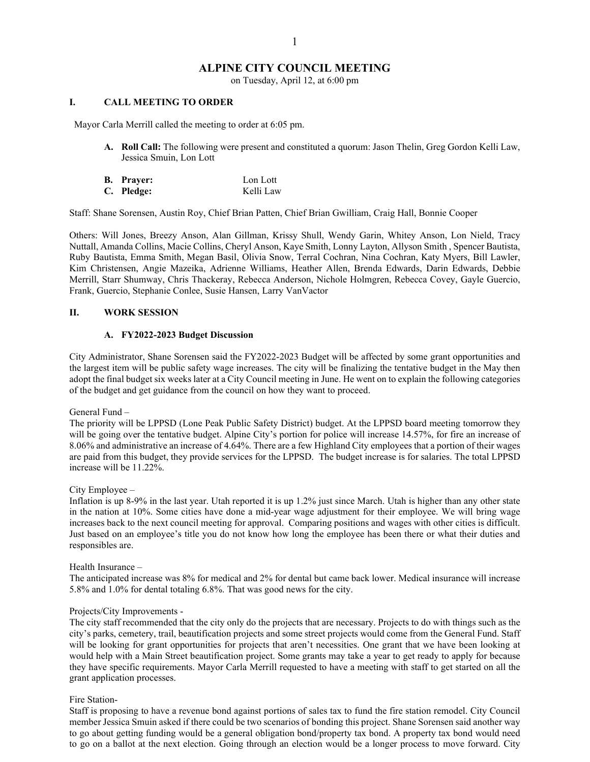# **ALPINE CITY COUNCIL MEETING**

on Tuesday, April 12, at 6:00 pm

## **I. CALL MEETING TO ORDER**

Mayor Carla Merrill called the meeting to order at 6:05 pm.

- **A. Roll Call:** The following were present and constituted a quorum: Jason Thelin, Greg Gordon Kelli Law, Jessica Smuin, Lon Lott
- **B. Prayer:** Lon Lott **C. Pledge:** Kelli Law

Staff: Shane Sorensen, Austin Roy, Chief Brian Patten, Chief Brian Gwilliam, Craig Hall, Bonnie Cooper

Others: Will Jones, Breezy Anson, Alan Gillman, Krissy Shull, Wendy Garin, Whitey Anson, Lon Nield, Tracy Nuttall, Amanda Collins, Macie Collins, Cheryl Anson, Kaye Smith, Lonny Layton, Allyson Smith , Spencer Bautista, Ruby Bautista, Emma Smith, Megan Basil, Olivia Snow, Terral Cochran, Nina Cochran, Katy Myers, Bill Lawler, Kim Christensen, Angie Mazeika, Adrienne Williams, Heather Allen, Brenda Edwards, Darin Edwards, Debbie Merrill, Starr Shumway, Chris Thackeray, Rebecca Anderson, Nichole Holmgren, Rebecca Covey, Gayle Guercio, Frank, Guercio, Stephanie Conlee, Susie Hansen, Larry VanVactor

#### **II. WORK SESSION**

#### **A. FY2022-2023 Budget Discussion**

City Administrator, Shane Sorensen said the FY2022-2023 Budget will be affected by some grant opportunities and the largest item will be public safety wage increases. The city will be finalizing the tentative budget in the May then adopt the final budget six weeks later at a City Council meeting in June. He went on to explain the following categories of the budget and get guidance from the council on how they want to proceed.

General Fund –

The priority will be LPPSD (Lone Peak Public Safety District) budget. At the LPPSD board meeting tomorrow they will be going over the tentative budget. Alpine City's portion for police will increase 14.57%, for fire an increase of 8.06% and administrative an increase of 4.64%. There are a few Highland City employees that a portion of their wages are paid from this budget, they provide services for the LPPSD. The budget increase is for salaries. The total LPPSD increase will be 11.22%.

City Employee –

Inflation is up 8-9% in the last year. Utah reported it is up 1.2% just since March. Utah is higher than any other state in the nation at 10%. Some cities have done a mid-year wage adjustment for their employee. We will bring wage increases back to the next council meeting for approval. Comparing positions and wages with other cities is difficult. Just based on an employee's title you do not know how long the employee has been there or what their duties and responsibles are.

#### Health Insurance –

The anticipated increase was 8% for medical and 2% for dental but came back lower. Medical insurance will increase 5.8% and 1.0% for dental totaling 6.8%. That was good news for the city.

#### Projects/City Improvements -

The city staff recommended that the city only do the projects that are necessary. Projects to do with things such as the city's parks, cemetery, trail, beautification projects and some street projects would come from the General Fund. Staff will be looking for grant opportunities for projects that aren't necessities. One grant that we have been looking at would help with a Main Street beautification project. Some grants may take a year to get ready to apply for because they have specific requirements. Mayor Carla Merrill requested to have a meeting with staff to get started on all the grant application processes.

#### Fire Station-

Staff is proposing to have a revenue bond against portions of sales tax to fund the fire station remodel. City Council member Jessica Smuin asked if there could be two scenarios of bonding this project. Shane Sorensen said another way to go about getting funding would be a general obligation bond/property tax bond. A property tax bond would need to go on a ballot at the next election. Going through an election would be a longer process to move forward. City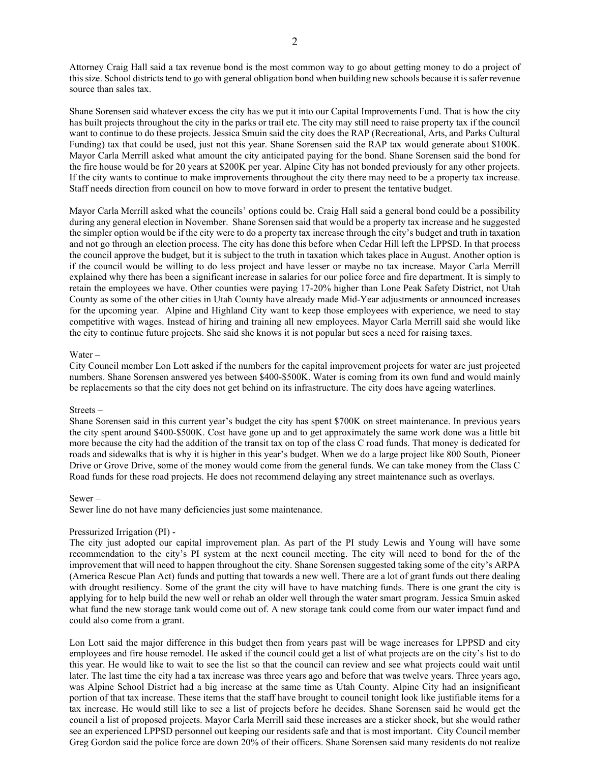Attorney Craig Hall said a tax revenue bond is the most common way to go about getting money to do a project of this size. School districtstend to go with general obligation bond when building new schools because it issafer revenue source than sales tax.

Shane Sorensen said whatever excess the city has we put it into our Capital Improvements Fund. That is how the city has built projects throughout the city in the parks or trail etc. The city may still need to raise property tax if the council want to continue to do these projects. Jessica Smuin said the city does the RAP (Recreational, Arts, and Parks Cultural Funding) tax that could be used, just not this year. Shane Sorensen said the RAP tax would generate about \$100K. Mayor Carla Merrill asked what amount the city anticipated paying for the bond. Shane Sorensen said the bond for the fire house would be for 20 years at \$200K per year. Alpine City has not bonded previously for any other projects. If the city wants to continue to make improvements throughout the city there may need to be a property tax increase. Staff needs direction from council on how to move forward in order to present the tentative budget.

Mayor Carla Merrill asked what the councils' options could be. Craig Hall said a general bond could be a possibility during any general election in November. Shane Sorensen said that would be a property tax increase and he suggested the simpler option would be if the city were to do a property tax increase through the city's budget and truth in taxation and not go through an election process. The city has done this before when Cedar Hill left the LPPSD. In that process the council approve the budget, but it is subject to the truth in taxation which takes place in August. Another option is if the council would be willing to do less project and have lesser or maybe no tax increase. Mayor Carla Merrill explained why there has been a significant increase in salaries for our police force and fire department. It is simply to retain the employees we have. Other counties were paying 17-20% higher than Lone Peak Safety District, not Utah County as some of the other cities in Utah County have already made Mid-Year adjustments or announced increases for the upcoming year. Alpine and Highland City want to keep those employees with experience, we need to stay competitive with wages. Instead of hiring and training all new employees. Mayor Carla Merrill said she would like the city to continue future projects. She said she knows it is not popular but sees a need for raising taxes.

#### Water –

City Council member Lon Lott asked if the numbers for the capital improvement projects for water are just projected numbers. Shane Sorensen answered yes between \$400-\$500K. Water is coming from its own fund and would mainly be replacements so that the city does not get behind on its infrastructure. The city does have ageing waterlines.

#### Streets –

Shane Sorensen said in this current year's budget the city has spent \$700K on street maintenance. In previous years the city spent around \$400-\$500K. Cost have gone up and to get approximately the same work done was a little bit more because the city had the addition of the transit tax on top of the class C road funds. That money is dedicated for roads and sidewalks that is why it is higher in this year's budget. When we do a large project like 800 South, Pioneer Drive or Grove Drive, some of the money would come from the general funds. We can take money from the Class C Road funds for these road projects. He does not recommend delaying any street maintenance such as overlays.

#### Sewer –

Sewer line do not have many deficiencies just some maintenance.

#### Pressurized Irrigation (PI) -

The city just adopted our capital improvement plan. As part of the PI study Lewis and Young will have some recommendation to the city's PI system at the next council meeting. The city will need to bond for the of the improvement that will need to happen throughout the city. Shane Sorensen suggested taking some of the city's ARPA (America Rescue Plan Act) funds and putting that towards a new well. There are a lot of grant funds out there dealing with drought resiliency. Some of the grant the city will have to have matching funds. There is one grant the city is applying for to help build the new well or rehab an older well through the water smart program. Jessica Smuin asked what fund the new storage tank would come out of. A new storage tank could come from our water impact fund and could also come from a grant.

Lon Lott said the major difference in this budget then from years past will be wage increases for LPPSD and city employees and fire house remodel. He asked if the council could get a list of what projects are on the city's list to do this year. He would like to wait to see the list so that the council can review and see what projects could wait until later. The last time the city had a tax increase was three years ago and before that was twelve years. Three years ago, was Alpine School District had a big increase at the same time as Utah County. Alpine City had an insignificant portion of that tax increase. These items that the staff have brought to council tonight look like justifiable items for a tax increase. He would still like to see a list of projects before he decides. Shane Sorensen said he would get the council a list of proposed projects. Mayor Carla Merrill said these increases are a sticker shock, but she would rather see an experienced LPPSD personnel out keeping our residents safe and that is most important. City Council member Greg Gordon said the police force are down 20% of their officers. Shane Sorensen said many residents do not realize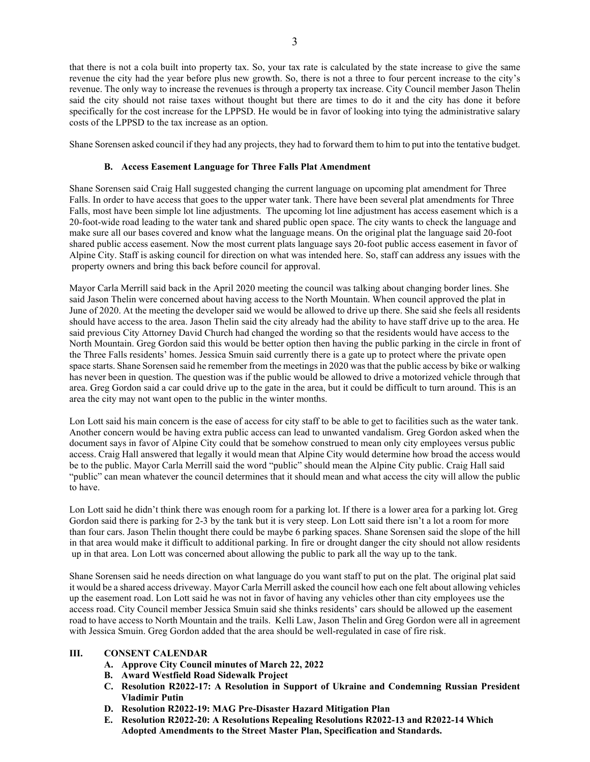that there is not a cola built into property tax. So, your tax rate is calculated by the state increase to give the same revenue the city had the year before plus new growth. So, there is not a three to four percent increase to the city's revenue. The only way to increase the revenues is through a property tax increase. City Council member Jason Thelin said the city should not raise taxes without thought but there are times to do it and the city has done it before specifically for the cost increase for the LPPSD. He would be in favor of looking into tying the administrative salary costs of the LPPSD to the tax increase as an option.

Shane Sorensen asked council if they had any projects, they had to forward them to him to put into the tentative budget.

## **B. Access Easement Language for Three Falls Plat Amendment**

Shane Sorensen said Craig Hall suggested changing the current language on upcoming plat amendment for Three Falls. In order to have access that goes to the upper water tank. There have been several plat amendments for Three Falls, most have been simple lot line adjustments. The upcoming lot line adjustment has access easement which is a 20-foot-wide road leading to the water tank and shared public open space. The city wants to check the language and make sure all our bases covered and know what the language means. On the original plat the language said 20-foot shared public access easement. Now the most current plats language says 20-foot public access easement in favor of Alpine City. Staff is asking council for direction on what was intended here. So, staff can address any issues with the property owners and bring this back before council for approval.

Mayor Carla Merrill said back in the April 2020 meeting the council was talking about changing border lines. She said Jason Thelin were concerned about having access to the North Mountain. When council approved the plat in June of 2020. At the meeting the developer said we would be allowed to drive up there. She said she feels all residents should have access to the area. Jason Thelin said the city already had the ability to have staff drive up to the area. He said previous City Attorney David Church had changed the wording so that the residents would have access to the North Mountain. Greg Gordon said this would be better option then having the public parking in the circle in front of the Three Falls residents' homes. Jessica Smuin said currently there is a gate up to protect where the private open space starts. Shane Sorensen said he remember from the meetings in 2020 was that the public access by bike or walking has never been in question. The question was if the public would be allowed to drive a motorized vehicle through that area. Greg Gordon said a car could drive up to the gate in the area, but it could be difficult to turn around. This is an area the city may not want open to the public in the winter months.

Lon Lott said his main concern is the ease of access for city staff to be able to get to facilities such as the water tank. Another concern would be having extra public access can lead to unwanted vandalism. Greg Gordon asked when the document says in favor of Alpine City could that be somehow construed to mean only city employees versus public access. Craig Hall answered that legally it would mean that Alpine City would determine how broad the access would be to the public. Mayor Carla Merrill said the word "public" should mean the Alpine City public. Craig Hall said "public" can mean whatever the council determines that it should mean and what access the city will allow the public to have.

Lon Lott said he didn't think there was enough room for a parking lot. If there is a lower area for a parking lot. Greg Gordon said there is parking for 2-3 by the tank but it is very steep. Lon Lott said there isn't a lot a room for more than four cars. Jason Thelin thought there could be maybe 6 parking spaces. Shane Sorensen said the slope of the hill in that area would make it difficult to additional parking. In fire or drought danger the city should not allow residents up in that area. Lon Lott was concerned about allowing the public to park all the way up to the tank.

Shane Sorensen said he needs direction on what language do you want staff to put on the plat. The original plat said it would be a shared access driveway. Mayor Carla Merrill asked the council how each one felt about allowing vehicles up the easement road. Lon Lott said he was not in favor of having any vehicles other than city employees use the access road. City Council member Jessica Smuin said she thinks residents' cars should be allowed up the easement road to have access to North Mountain and the trails. Kelli Law, Jason Thelin and Greg Gordon were all in agreement with Jessica Smuin. Greg Gordon added that the area should be well-regulated in case of fire risk.

# **III. CONSENT CALENDAR**

- **A. Approve City Council minutes of March 22, 2022**
- **B. Award Westfield Road Sidewalk Project**
- **C. Resolution R2022-17: A Resolution in Support of Ukraine and Condemning Russian President Vladimir Putin**
- **D. Resolution R2022-19: MAG Pre-Disaster Hazard Mitigation Plan**
- **E. Resolution R2022-20: A Resolutions Repealing Resolutions R2022-13 and R2022-14 Which Adopted Amendments to the Street Master Plan, Specification and Standards.**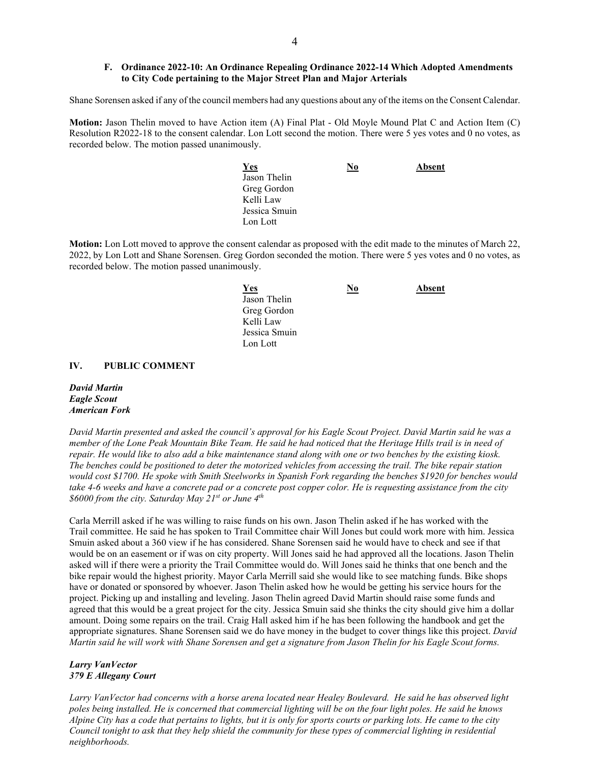## **F. Ordinance 2022-10: An Ordinance Repealing Ordinance 2022-14 Which Adopted Amendments to City Code pertaining to the Major Street Plan and Major Arterials**

Shane Sorensen asked if any of the council members had any questions about any of the items on the Consent Calendar.

**Motion:** Jason Thelin moved to have Action item (A) Final Plat - Old Moyle Mound Plat C and Action Item (C) Resolution R2022-18 to the consent calendar. Lon Lott second the motion. There were 5 yes votes and 0 no votes, as recorded below. The motion passed unanimously.

| <u>Yes</u>    | $\underline{\mathbf{N}\mathbf{0}}$ | Absent |
|---------------|------------------------------------|--------|
| Jason Thelin  |                                    |        |
| Greg Gordon   |                                    |        |
| Kelli Law     |                                    |        |
| Jessica Smuin |                                    |        |
| Lon Lott      |                                    |        |

**Motion:** Lon Lott moved to approve the consent calendar as proposed with the edit made to the minutes of March 22, 2022, by Lon Lott and Shane Sorensen. Greg Gordon seconded the motion. There were 5 yes votes and 0 no votes, as recorded below. The motion passed unanimously.

| <b>Yes</b>    | <u>No</u> | Absent |
|---------------|-----------|--------|
| Jason Thelin  |           |        |
| Greg Gordon   |           |        |
| Kelli Law     |           |        |
| Jessica Smuin |           |        |
| Lon Lott      |           |        |

#### **IV. PUBLIC COMMENT**

*David Martin Eagle Scout American Fork* 

*David Martin presented and asked the council's approval for his Eagle Scout Project. David Martin said he was a member of the Lone Peak Mountain Bike Team. He said he had noticed that the Heritage Hills trail is in need of repair. He would like to also add a bike maintenance stand along with one or two benches by the existing kiosk. The benches could be positioned to deter the motorized vehicles from accessing the trail. The bike repair station would cost \$1700. He spoke with Smith Steelworks in Spanish Fork regarding the benches \$1920 for benches would take 4-6 weeks and have a concrete pad or a concrete post copper color. He is requesting assistance from the city \$6000 from the city. Saturday May 21st or June 4th* 

Carla Merrill asked if he was willing to raise funds on his own. Jason Thelin asked if he has worked with the Trail committee. He said he has spoken to Trail Committee chair Will Jones but could work more with him. Jessica Smuin asked about a 360 view if he has considered. Shane Sorensen said he would have to check and see if that would be on an easement or if was on city property. Will Jones said he had approved all the locations. Jason Thelin asked will if there were a priority the Trail Committee would do. Will Jones said he thinks that one bench and the bike repair would the highest priority. Mayor Carla Merrill said she would like to see matching funds. Bike shops have or donated or sponsored by whoever. Jason Thelin asked how he would be getting his service hours for the project. Picking up and installing and leveling. Jason Thelin agreed David Martin should raise some funds and agreed that this would be a great project for the city. Jessica Smuin said she thinks the city should give him a dollar amount. Doing some repairs on the trail. Craig Hall asked him if he has been following the handbook and get the appropriate signatures. Shane Sorensen said we do have money in the budget to cover things like this project. *David Martin said he will work with Shane Sorensen and get a signature from Jason Thelin for his Eagle Scout forms.* 

#### *Larry VanVector 379 E Allegany Court*

*Larry VanVector had concerns with a horse arena located near Healey Boulevard. He said he has observed light poles being installed. He is concerned that commercial lighting will be on the four light poles. He said he knows Alpine City has a code that pertains to lights, but it is only for sports courts or parking lots. He came to the city Council tonight to ask that they help shield the community for these types of commercial lighting in residential neighborhoods.*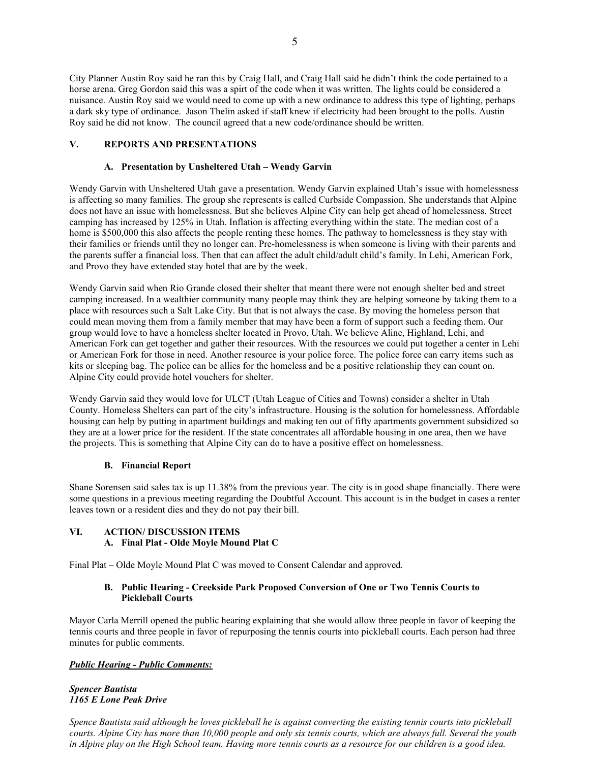City Planner Austin Roy said he ran this by Craig Hall, and Craig Hall said he didn't think the code pertained to a horse arena. Greg Gordon said this was a spirt of the code when it was written. The lights could be considered a nuisance. Austin Roy said we would need to come up with a new ordinance to address this type of lighting, perhaps a dark sky type of ordinance. Jason Thelin asked if staff knew if electricity had been brought to the polls. Austin Roy said he did not know. The council agreed that a new code/ordinance should be written.

## **V. REPORTS AND PRESENTATIONS**

# **A. Presentation by Unsheltered Utah – Wendy Garvin**

Wendy Garvin with Unsheltered Utah gave a presentation. Wendy Garvin explained Utah's issue with homelessness is affecting so many families. The group she represents is called Curbside Compassion. She understands that Alpine does not have an issue with homelessness. But she believes Alpine City can help get ahead of homelessness. Street camping has increased by 125% in Utah. Inflation is affecting everything within the state. The median cost of a home is \$500,000 this also affects the people renting these homes. The pathway to homelessness is they stay with their families or friends until they no longer can. Pre-homelessness is when someone is living with their parents and the parents suffer a financial loss. Then that can affect the adult child/adult child's family. In Lehi, American Fork, and Provo they have extended stay hotel that are by the week.

Wendy Garvin said when Rio Grande closed their shelter that meant there were not enough shelter bed and street camping increased. In a wealthier community many people may think they are helping someone by taking them to a place with resources such a Salt Lake City. But that is not always the case. By moving the homeless person that could mean moving them from a family member that may have been a form of support such a feeding them. Our group would love to have a homeless shelter located in Provo, Utah. We believe Aline, Highland, Lehi, and American Fork can get together and gather their resources. With the resources we could put together a center in Lehi or American Fork for those in need. Another resource is your police force. The police force can carry items such as kits or sleeping bag. The police can be allies for the homeless and be a positive relationship they can count on. Alpine City could provide hotel vouchers for shelter.

Wendy Garvin said they would love for ULCT (Utah League of Cities and Towns) consider a shelter in Utah County. Homeless Shelters can part of the city's infrastructure. Housing is the solution for homelessness. Affordable housing can help by putting in apartment buildings and making ten out of fifty apartments government subsidized so they are at a lower price for the resident. If the state concentrates all affordable housing in one area, then we have the projects. This is something that Alpine City can do to have a positive effect on homelessness.

## **B. Financial Report**

Shane Sorensen said sales tax is up 11.38% from the previous year. The city is in good shape financially. There were some questions in a previous meeting regarding the Doubtful Account. This account is in the budget in cases a renter leaves town or a resident dies and they do not pay their bill.

# **VI. ACTION/ DISCUSSION ITEMS**

# **A. Final Plat - Olde Moyle Mound Plat C**

Final Plat – Olde Moyle Mound Plat C was moved to Consent Calendar and approved.

# **B. Public Hearing - Creekside Park Proposed Conversion of One or Two Tennis Courts to Pickleball Courts**

Mayor Carla Merrill opened the public hearing explaining that she would allow three people in favor of keeping the tennis courts and three people in favor of repurposing the tennis courts into pickleball courts. Each person had three minutes for public comments.

# *Public Hearing - Public Comments:*

## *Spencer Bautista 1165 E Lone Peak Drive*

*Spence Bautista said although he loves pickleball he is against converting the existing tennis courts into pickleball courts. Alpine City has more than 10,000 people and only six tennis courts, which are always full. Several the youth*  in Alpine play on the High School team. Having more tennis courts as a resource for our children is a good idea.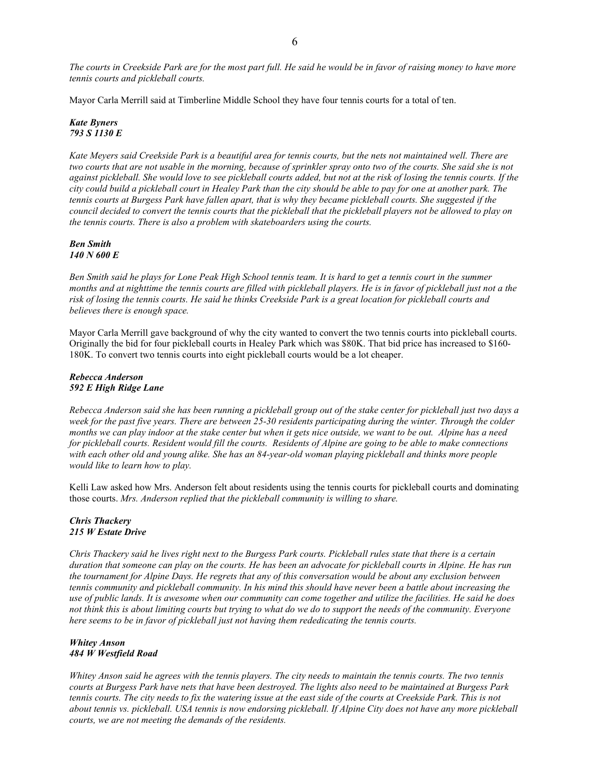*The courts in Creekside Park are for the most part full. He said he would be in favor of raising money to have more tennis courts and pickleball courts.*

Mayor Carla Merrill said at Timberline Middle School they have four tennis courts for a total of ten.

#### *Kate Byners 793 S 1130 E*

*Kate Meyers said Creekside Park is a beautiful area for tennis courts, but the nets not maintained well. There are two courts that are not usable in the morning, because of sprinkler spray onto two of the courts. She said she is not against pickleball. She would love to see pickleball courts added, but not at the risk of losing the tennis courts. If the city could build a pickleball court in Healey Park than the city should be able to pay for one at another park. The tennis courts at Burgess Park have fallen apart, that is why they became pickleball courts. She suggested if the council decided to convert the tennis courts that the pickleball that the pickleball players not be allowed to play on the tennis courts. There is also a problem with skateboarders using the courts.* 

*Ben Smith 140 N 600 E*

*Ben Smith said he plays for Lone Peak High School tennis team. It is hard to get a tennis court in the summer months and at nighttime the tennis courts are filled with pickleball players. He is in favor of pickleball just not a the risk of losing the tennis courts. He said he thinks Creekside Park is a great location for pickleball courts and believes there is enough space.* 

Mayor Carla Merrill gave background of why the city wanted to convert the two tennis courts into pickleball courts. Originally the bid for four pickleball courts in Healey Park which was \$80K. That bid price has increased to \$160- 180K. To convert two tennis courts into eight pickleball courts would be a lot cheaper.

## *Rebecca Anderson 592 E High Ridge Lane*

*Rebecca Anderson said she has been running a pickleball group out of the stake center for pickleball just two days a week for the past five years. There are between 25-30 residents participating during the winter. Through the colder months we can play indoor at the stake center but when it gets nice outside, we want to be out. Alpine has a need for pickleball courts. Resident would fill the courts. Residents of Alpine are going to be able to make connections with each other old and young alike. She has an 84-year-old woman playing pickleball and thinks more people would like to learn how to play.* 

Kelli Law asked how Mrs. Anderson felt about residents using the tennis courts for pickleball courts and dominating those courts. *Mrs. Anderson replied that the pickleball community is willing to share.*

#### *Chris Thackery 215 W Estate Drive*

*Chris Thackery said he lives right next to the Burgess Park courts. Pickleball rules state that there is a certain duration that someone can play on the courts. He has been an advocate for pickleball courts in Alpine. He has run the tournament for Alpine Days. He regrets that any of this conversation would be about any exclusion between tennis community and pickleball community. In his mind this should have never been a battle about increasing the use of public lands. It is awesome when our community can come together and utilize the facilities. He said he does not think this is about limiting courts but trying to what do we do to support the needs of the community. Everyone here seems to be in favor of pickleball just not having them rededicating the tennis courts.* 

## *Whitey Anson 484 W Westfield Road*

*Whitey Anson said he agrees with the tennis players. The city needs to maintain the tennis courts. The two tennis courts at Burgess Park have nets that have been destroyed. The lights also need to be maintained at Burgess Park tennis courts. The city needs to fix the watering issue at the east side of the courts at Creekside Park. This is not about tennis vs. pickleball. USA tennis is now endorsing pickleball. If Alpine City does not have any more pickleball courts, we are not meeting the demands of the residents.*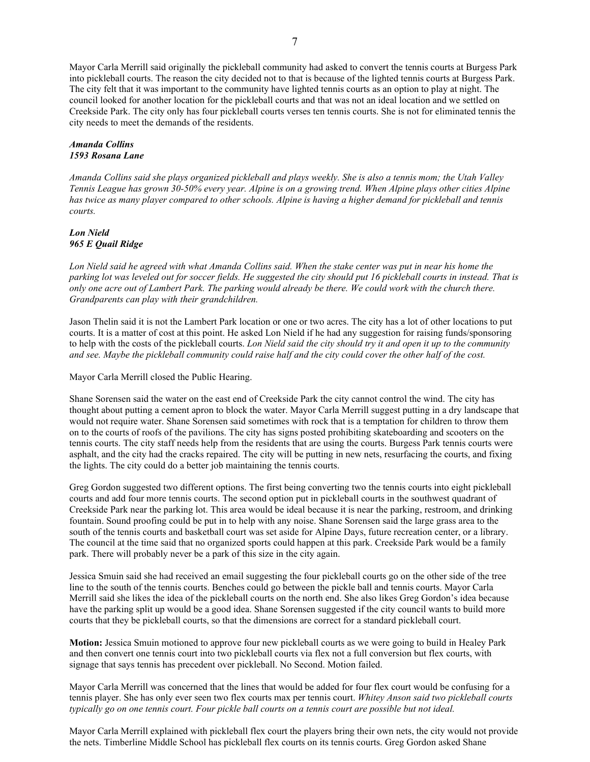Mayor Carla Merrill said originally the pickleball community had asked to convert the tennis courts at Burgess Park into pickleball courts. The reason the city decided not to that is because of the lighted tennis courts at Burgess Park. The city felt that it was important to the community have lighted tennis courts as an option to play at night. The council looked for another location for the pickleball courts and that was not an ideal location and we settled on Creekside Park. The city only has four pickleball courts verses ten tennis courts. She is not for eliminated tennis the city needs to meet the demands of the residents.

#### *Amanda Collins 1593 Rosana Lane*

*Amanda Collins said she plays organized pickleball and plays weekly. She is also a tennis mom; the Utah Valley Tennis League has grown 30-50% every year. Alpine is on a growing trend. When Alpine plays other cities Alpine has twice as many player compared to other schools. Alpine is having a higher demand for pickleball and tennis courts.* 

## *Lon Nield 965 E Quail Ridge*

*Lon Nield said he agreed with what Amanda Collins said. When the stake center was put in near his home the parking lot was leveled out for soccer fields. He suggested the city should put 16 pickleball courts in instead. That is only one acre out of Lambert Park. The parking would already be there. We could work with the church there. Grandparents can play with their grandchildren.* 

Jason Thelin said it is not the Lambert Park location or one or two acres. The city has a lot of other locations to put courts. It is a matter of cost at this point. He asked Lon Nield if he had any suggestion for raising funds/sponsoring to help with the costs of the pickleball courts. *Lon Nield said the city should try it and open it up to the community and see. Maybe the pickleball community could raise half and the city could cover the other half of the cost.* 

Mayor Carla Merrill closed the Public Hearing.

Shane Sorensen said the water on the east end of Creekside Park the city cannot control the wind. The city has thought about putting a cement apron to block the water. Mayor Carla Merrill suggest putting in a dry landscape that would not require water. Shane Sorensen said sometimes with rock that is a temptation for children to throw them on to the courts of roofs of the pavilions. The city has signs posted prohibiting skateboarding and scooters on the tennis courts. The city staff needs help from the residents that are using the courts. Burgess Park tennis courts were asphalt, and the city had the cracks repaired. The city will be putting in new nets, resurfacing the courts, and fixing the lights. The city could do a better job maintaining the tennis courts.

Greg Gordon suggested two different options. The first being converting two the tennis courts into eight pickleball courts and add four more tennis courts. The second option put in pickleball courts in the southwest quadrant of Creekside Park near the parking lot. This area would be ideal because it is near the parking, restroom, and drinking fountain. Sound proofing could be put in to help with any noise. Shane Sorensen said the large grass area to the south of the tennis courts and basketball court was set aside for Alpine Days, future recreation center, or a library. The council at the time said that no organized sports could happen at this park. Creekside Park would be a family park. There will probably never be a park of this size in the city again.

Jessica Smuin said she had received an email suggesting the four pickleball courts go on the other side of the tree line to the south of the tennis courts. Benches could go between the pickle ball and tennis courts. Mayor Carla Merrill said she likes the idea of the pickleball courts on the north end. She also likes Greg Gordon's idea because have the parking split up would be a good idea. Shane Sorensen suggested if the city council wants to build more courts that they be pickleball courts, so that the dimensions are correct for a standard pickleball court.

**Motion:** Jessica Smuin motioned to approve four new pickleball courts as we were going to build in Healey Park and then convert one tennis court into two pickleball courts via flex not a full conversion but flex courts, with signage that says tennis has precedent over pickleball. No Second. Motion failed.

Mayor Carla Merrill was concerned that the lines that would be added for four flex court would be confusing for a tennis player. She has only ever seen two flex courts max per tennis court. *Whitey Anson said two pickleball courts typically go on one tennis court. Four pickle ball courts on a tennis court are possible but not ideal.*

Mayor Carla Merrill explained with pickleball flex court the players bring their own nets, the city would not provide the nets. Timberline Middle School has pickleball flex courts on its tennis courts. Greg Gordon asked Shane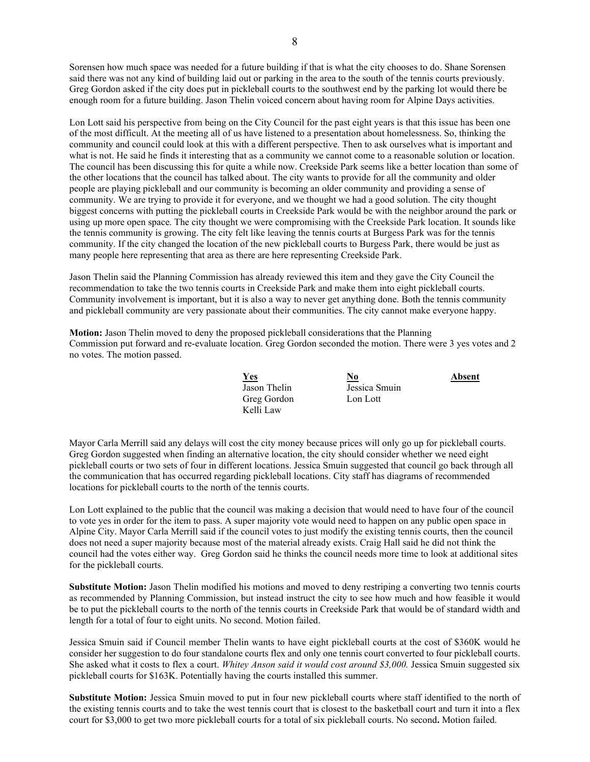Sorensen how much space was needed for a future building if that is what the city chooses to do. Shane Sorensen said there was not any kind of building laid out or parking in the area to the south of the tennis courts previously. Greg Gordon asked if the city does put in pickleball courts to the southwest end by the parking lot would there be enough room for a future building. Jason Thelin voiced concern about having room for Alpine Days activities.

Lon Lott said his perspective from being on the City Council for the past eight years is that this issue has been one of the most difficult. At the meeting all of us have listened to a presentation about homelessness. So, thinking the community and council could look at this with a different perspective. Then to ask ourselves what is important and what is not. He said he finds it interesting that as a community we cannot come to a reasonable solution or location. The council has been discussing this for quite a while now. Creekside Park seems like a better location than some of the other locations that the council has talked about. The city wants to provide for all the community and older people are playing pickleball and our community is becoming an older community and providing a sense of community. We are trying to provide it for everyone, and we thought we had a good solution. The city thought biggest concerns with putting the pickleball courts in Creekside Park would be with the neighbor around the park or using up more open space. The city thought we were compromising with the Creekside Park location. It sounds like the tennis community is growing. The city felt like leaving the tennis courts at Burgess Park was for the tennis community. If the city changed the location of the new pickleball courts to Burgess Park, there would be just as many people here representing that area as there are here representing Creekside Park.

Jason Thelin said the Planning Commission has already reviewed this item and they gave the City Council the recommendation to take the two tennis courts in Creekside Park and make them into eight pickleball courts. Community involvement is important, but it is also a way to never get anything done. Both the tennis community and pickleball community are very passionate about their communities. The city cannot make everyone happy.

**Motion:** Jason Thelin moved to deny the proposed pickleball considerations that the Planning Commission put forward and re-evaluate location. Greg Gordon seconded the motion. There were 3 yes votes and 2 no votes. The motion passed.

| <u>Yes</u>   | <u>No</u>     | Absent |
|--------------|---------------|--------|
| Jason Thelin | Jessica Smuin |        |
| Greg Gordon  | Lon Lott      |        |
| Kelli Law    |               |        |

Mayor Carla Merrill said any delays will cost the city money because prices will only go up for pickleball courts. Greg Gordon suggested when finding an alternative location, the city should consider whether we need eight pickleball courts or two sets of four in different locations. Jessica Smuin suggested that council go back through all the communication that has occurred regarding pickleball locations. City staff has diagrams of recommended locations for pickleball courts to the north of the tennis courts.

Lon Lott explained to the public that the council was making a decision that would need to have four of the council to vote yes in order for the item to pass. A super majority vote would need to happen on any public open space in Alpine City. Mayor Carla Merrill said if the council votes to just modify the existing tennis courts, then the council does not need a super majority because most of the material already exists. Craig Hall said he did not think the council had the votes either way. Greg Gordon said he thinks the council needs more time to look at additional sites for the pickleball courts.

**Substitute Motion:** Jason Thelin modified his motions and moved to deny restriping a converting two tennis courts as recommended by Planning Commission, but instead instruct the city to see how much and how feasible it would be to put the pickleball courts to the north of the tennis courts in Creekside Park that would be of standard width and length for a total of four to eight units. No second. Motion failed.

Jessica Smuin said if Council member Thelin wants to have eight pickleball courts at the cost of \$360K would he consider her suggestion to do four standalone courts flex and only one tennis court converted to four pickleball courts. She asked what it costs to flex a court. *Whitey Anson said it would cost around \$3,000.* Jessica Smuin suggested six pickleball courts for \$163K. Potentially having the courts installed this summer.

**Substitute Motion:** Jessica Smuin moved to put in four new pickleball courts where staff identified to the north of the existing tennis courts and to take the west tennis court that is closest to the basketball court and turn it into a flex court for \$3,000 to get two more pickleball courts for a total of six pickleball courts. No second**.** Motion failed.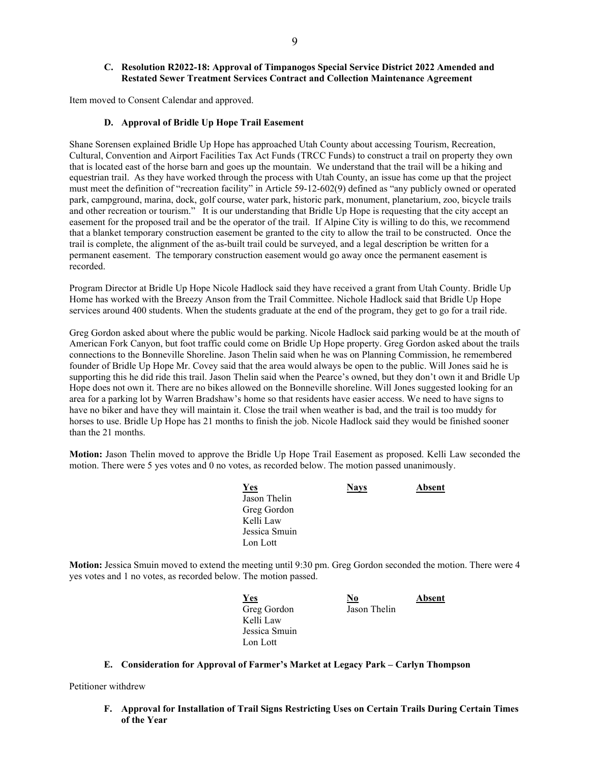# **C. Resolution R2022-18: Approval of Timpanogos Special Service District 2022 Amended and Restated Sewer Treatment Services Contract and Collection Maintenance Agreement**

Item moved to Consent Calendar and approved.

## **D. Approval of Bridle Up Hope Trail Easement**

Shane Sorensen explained Bridle Up Hope has approached Utah County about accessing Tourism, Recreation, Cultural, Convention and Airport Facilities Tax Act Funds (TRCC Funds) to construct a trail on property they own that is located east of the horse barn and goes up the mountain. We understand that the trail will be a hiking and equestrian trail. As they have worked through the process with Utah County, an issue has come up that the project must meet the definition of "recreation facility" in Article 59-12-602(9) defined as "any publicly owned or operated park, campground, marina, dock, golf course, water park, historic park, monument, planetarium, zoo, bicycle trails and other recreation or tourism." It is our understanding that Bridle Up Hope is requesting that the city accept an easement for the proposed trail and be the operator of the trail. If Alpine City is willing to do this, we recommend that a blanket temporary construction easement be granted to the city to allow the trail to be constructed. Once the trail is complete, the alignment of the as-built trail could be surveyed, and a legal description be written for a permanent easement. The temporary construction easement would go away once the permanent easement is recorded.

Program Director at Bridle Up Hope Nicole Hadlock said they have received a grant from Utah County. Bridle Up Home has worked with the Breezy Anson from the Trail Committee. Nichole Hadlock said that Bridle Up Hope services around 400 students. When the students graduate at the end of the program, they get to go for a trail ride.

Greg Gordon asked about where the public would be parking. Nicole Hadlock said parking would be at the mouth of American Fork Canyon, but foot traffic could come on Bridle Up Hope property. Greg Gordon asked about the trails connections to the Bonneville Shoreline. Jason Thelin said when he was on Planning Commission, he remembered founder of Bridle Up Hope Mr. Covey said that the area would always be open to the public. Will Jones said he is supporting this he did ride this trail. Jason Thelin said when the Pearce's owned, but they don't own it and Bridle Up Hope does not own it. There are no bikes allowed on the Bonneville shoreline. Will Jones suggested looking for an area for a parking lot by Warren Bradshaw's home so that residents have easier access. We need to have signs to have no biker and have they will maintain it. Close the trail when weather is bad, and the trail is too muddy for horses to use. Bridle Up Hope has 21 months to finish the job. Nicole Hadlock said they would be finished sooner than the 21 months.

**Motion:** Jason Thelin moved to approve the Bridle Up Hope Trail Easement as proposed. Kelli Law seconded the motion. There were 5 yes votes and 0 no votes, as recorded below. The motion passed unanimously.

| <u>Yes</u>    | <b>Nays</b> | Absent |
|---------------|-------------|--------|
| Jason Thelin  |             |        |
| Greg Gordon   |             |        |
| Kelli Law     |             |        |
| Jessica Smuin |             |        |
| Lon Lott      |             |        |

**Motion:** Jessica Smuin moved to extend the meeting until 9:30 pm. Greg Gordon seconded the motion. There were 4 yes votes and 1 no votes, as recorded below. The motion passed.

| <u>Yes</u>    | <u>No</u>    | Absent |
|---------------|--------------|--------|
| Greg Gordon   | Jason Thelin |        |
| Kelli Law     |              |        |
| Jessica Smuin |              |        |
| Lon Lott      |              |        |

## **E. Consideration for Approval of Farmer's Market at Legacy Park – Carlyn Thompson**

Petitioner withdrew

**F. Approval for Installation of Trail Signs Restricting Uses on Certain Trails During Certain Times of the Year**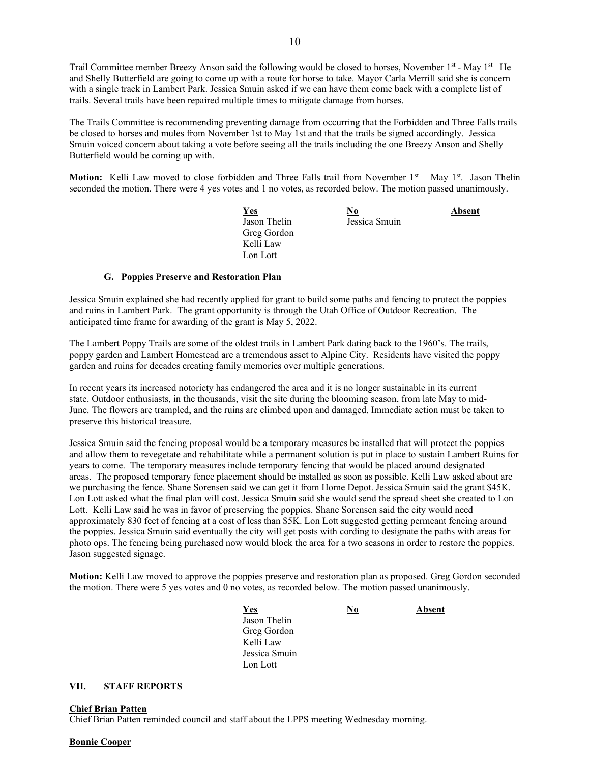Trail Committee member Breezy Anson said the following would be closed to horses, November  $1<sup>st</sup> - May  $1<sup>st</sup> + 1<sup>st</sup> + 1<sup>st</sup> + 1<sup>st</sup> + 1<sup>st</sup> + 1<sup>st</sup> + 1<sup>st</sup> + 1<sup>st</sup> + 1<sup>st</sup> + 1<sup>st</sup> + 1<sup>st</sup> + 1<sup>st</sup>$$ and Shelly Butterfield are going to come up with a route for horse to take. Mayor Carla Merrill said she is concern with a single track in Lambert Park. Jessica Smuin asked if we can have them come back with a complete list of trails. Several trails have been repaired multiple times to mitigate damage from horses.

The Trails Committee is recommending preventing damage from occurring that the Forbidden and Three Falls trails be closed to horses and mules from November 1st to May 1st and that the trails be signed accordingly. Jessica Smuin voiced concern about taking a vote before seeing all the trails including the one Breezy Anson and Shelly Butterfield would be coming up with.

**Motion:** Kelli Law moved to close forbidden and Three Falls trail from November 1<sup>st</sup> – May 1<sup>st</sup>. Jason Thelin seconded the motion. There were 4 yes votes and 1 no votes, as recorded below. The motion passed unanimously.

| <u>Yes</u>   | $\underline{\mathbf{No}}$ | Absent |
|--------------|---------------------------|--------|
| Jason Thelin | Jessica Smuin             |        |
| Greg Gordon  |                           |        |
| Kelli Law    |                           |        |
| Lon Lott     |                           |        |

#### **G. Poppies Preserve and Restoration Plan**

Jessica Smuin explained she had recently applied for grant to build some paths and fencing to protect the poppies and ruins in Lambert Park. The grant opportunity is through the Utah Office of Outdoor Recreation. The anticipated time frame for awarding of the grant is May 5, 2022.

The Lambert Poppy Trails are some of the oldest trails in Lambert Park dating back to the 1960's. The trails, poppy garden and Lambert Homestead are a tremendous asset to Alpine City. Residents have visited the poppy garden and ruins for decades creating family memories over multiple generations.

In recent years its increased notoriety has endangered the area and it is no longer sustainable in its current state. Outdoor enthusiasts, in the thousands, visit the site during the blooming season, from late May to mid-June. The flowers are trampled, and the ruins are climbed upon and damaged. Immediate action must be taken to preserve this historical treasure.

Jessica Smuin said the fencing proposal would be a temporary measures be installed that will protect the poppies and allow them to revegetate and rehabilitate while a permanent solution is put in place to sustain Lambert Ruins for years to come. The temporary measures include temporary fencing that would be placed around designated areas. The proposed temporary fence placement should be installed as soon as possible. Kelli Law asked about are we purchasing the fence. Shane Sorensen said we can get it from Home Depot. Jessica Smuin said the grant \$45K. Lon Lott asked what the final plan will cost. Jessica Smuin said she would send the spread sheet she created to Lon Lott. Kelli Law said he was in favor of preserving the poppies. Shane Sorensen said the city would need approximately 830 feet of fencing at a cost of less than \$5K. Lon Lott suggested getting permeant fencing around the poppies. Jessica Smuin said eventually the city will get posts with cording to designate the paths with areas for photo ops. The fencing being purchased now would block the area for a two seasons in order to restore the poppies. Jason suggested signage.

**Motion:** Kelli Law moved to approve the poppies preserve and restoration plan as proposed. Greg Gordon seconded the motion. There were 5 yes votes and 0 no votes, as recorded below. The motion passed unanimously.

*<u>Yes No</u>* **Absent**  Jason Thelin Greg Gordon Kelli Law Jessica Smuin Lon Lott

**VII. STAFF REPORTS**

#### **Chief Brian Patten**

Chief Brian Patten reminded council and staff about the LPPS meeting Wednesday morning.

#### **Bonnie Cooper**